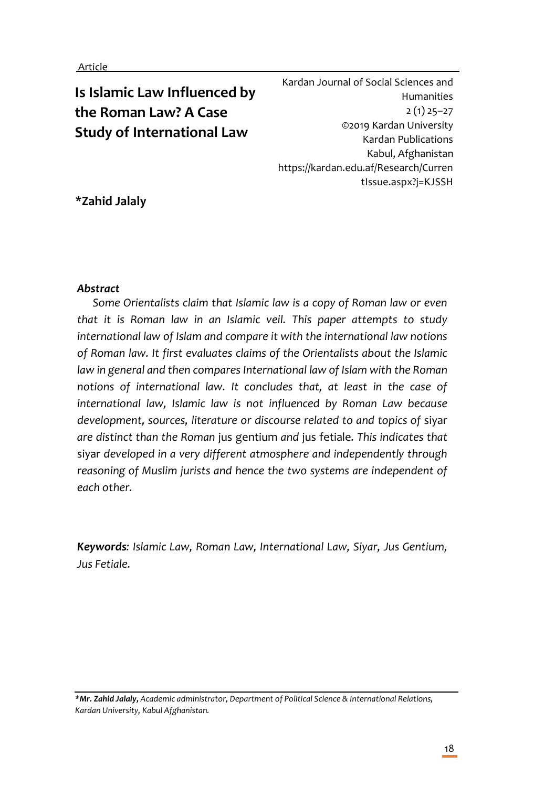# **Is Islamic Law Influenced by the Roman Law? A Case Study of International Law**

Kardan Journal of Social Sciences and Humanities 2 (1) 25–27 ©2019 Kardan University Kardan Publications Kabul, Afghanistan https://kardan.edu.af/Research/Curren tIssue.aspx?j=KJSSH

## **\*Zahid Jalaly**

## *Abstract*

*Some Orientalists claim that Islamic law is a copy of Roman law or even that it is Roman law in an Islamic veil. This paper attempts to study international law of Islam and compare it with the international law notions of Roman law. It first evaluates claims of the Orientalists about the Islamic*  law in general and then compares International law of Islam with the Roman *notions of international law. It concludes that, at least in the case of international law, Islamic law is not influenced by Roman Law because development, sources, literature or discourse related to and topics of* siyar *are distinct than the Roman* jus gentium *and* jus fetiale*. This indicates that*  siyar *developed in a very different atmosphere and independently through reasoning of Muslim jurists and hence the two systems are independent of each other.* 

*Keywords: Islamic Law, Roman Law, International Law, Siyar, Jus Gentium, Jus Fetiale.*

*\*Mr. Zahid Jalaly, Academic administrator, Department of Political Science & International Relations, Kardan University, Kabul Afghanistan.*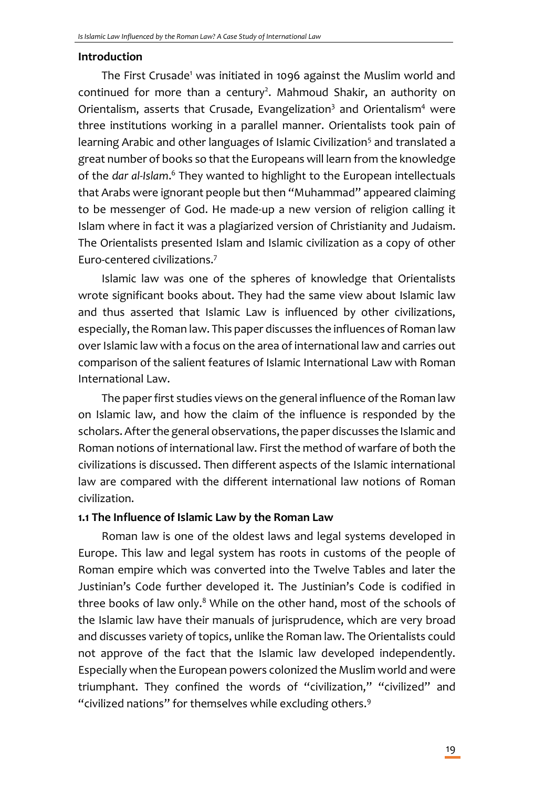#### **Introduction**

The First Crusade<sup>1</sup> was initiated in 1096 against the Muslim world and continued for more than a century<sup>2</sup>. Mahmoud Shakir, an authority on Orientalism, asserts that Crusade, Evangelization<sup>3</sup> and Orientalism<sup>4</sup> were three institutions working in a parallel manner. Orientalists took pain of learning Arabic and other languages of Islamic Civilization<sup>5</sup> and translated a great number of books so that the Europeans will learn from the knowledge of the dar al-Islam.<sup>6</sup> They wanted to highlight to the European intellectuals that Arabs were ignorant people but then "Muhammad" appeared claiming to be messenger of God. He made-up a new version of religion calling it Islam where in fact it was a plagiarized version of Christianity and Judaism. The Orientalists presented Islam and Islamic civilization as a copy of other Euro-centered civilizations.<sup>7</sup>

Islamic law was one of the spheres of knowledge that Orientalists wrote significant books about. They had the same view about Islamic law and thus asserted that Islamic Law is influenced by other civilizations, especially, the Roman law. This paper discusses the influences of Roman law over Islamic law with a focus on the area of international law and carries out comparison of the salient features of Islamic International Law with Roman International Law.

The paper first studies views on the general influence of the Roman law on Islamic law, and how the claim of the influence is responded by the scholars. After the general observations, the paper discusses the Islamic and Roman notions of international law. First the method of warfare of both the civilizations is discussed. Then different aspects of the Islamic international law are compared with the different international law notions of Roman civilization.

#### **1.1 The Influence of Islamic Law by the Roman Law**

Roman law is one of the oldest laws and legal systems developed in Europe. This law and legal system has roots in customs of the people of Roman empire which was converted into the Twelve Tables and later the Justinian's Code further developed it. The Justinian's Code is codified in three books of law only. $8$  While on the other hand, most of the schools of the Islamic law have their manuals of jurisprudence, which are very broad and discusses variety of topics, unlike the Roman law. The Orientalists could not approve of the fact that the Islamic law developed independently. Especially when the European powers colonized the Muslim world and were triumphant. They confined the words of "civilization," "civilized" and "civilized nations" for themselves while excluding others.<sup>9</sup>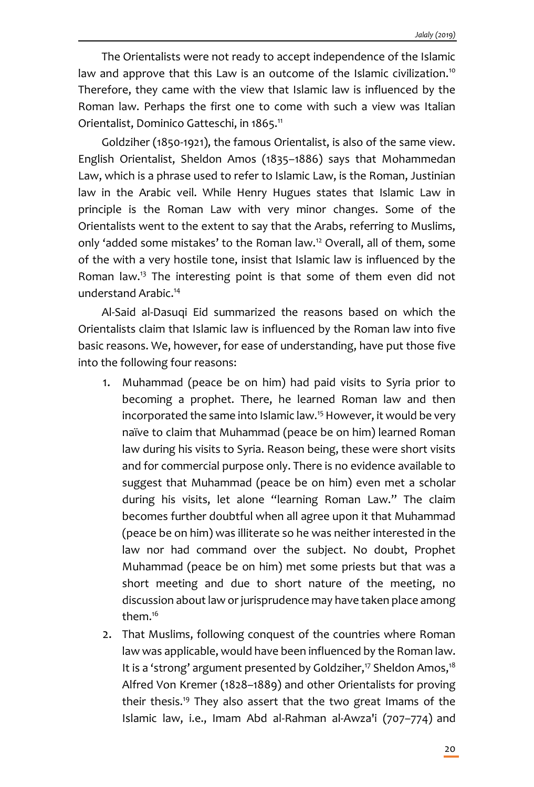The Orientalists were not ready to accept independence of the Islamic law and approve that this Law is an outcome of the Islamic civilization.<sup>10</sup> Therefore, they came with the view that Islamic law is influenced by the Roman law. Perhaps the first one to come with such a view was Italian Orientalist, Dominico Gatteschi, in 1865.<sup>11</sup>

Goldziher (1850-1921), the famous Orientalist, is also of the same view. English Orientalist, Sheldon Amos (1835–1886) says that Mohammedan Law, which is a phrase used to refer to Islamic Law, is the Roman, Justinian law in the Arabic veil. While Henry Hugues states that Islamic Law in principle is the Roman Law with very minor changes. Some of the Orientalists went to the extent to say that the Arabs, referring to Muslims, only 'added some mistakes' to the Roman law.<sup>12</sup> Overall, all of them, some of the with a very hostile tone, insist that Islamic law is influenced by the Roman law.<sup>13</sup> The interesting point is that some of them even did not understand Arabic.<sup>14</sup>

Al-Said al-Dasuqi Eid summarized the reasons based on which the Orientalists claim that Islamic law is influenced by the Roman law into five basic reasons. We, however, for ease of understanding, have put those five into the following four reasons:

- 1. Muhammad (peace be on him) had paid visits to Syria prior to becoming a prophet. There, he learned Roman law and then incorporated the same into Islamic law.<sup>15</sup> However, it would be very naïve to claim that Muhammad (peace be on him) learned Roman law during his visits to Syria. Reason being, these were short visits and for commercial purpose only. There is no evidence available to suggest that Muhammad (peace be on him) even met a scholar during his visits, let alone "learning Roman Law." The claim becomes further doubtful when all agree upon it that Muhammad (peace be on him) was illiterate so he was neither interested in the law nor had command over the subject. No doubt, Prophet Muhammad (peace be on him) met some priests but that was a short meeting and due to short nature of the meeting, no discussion about law or jurisprudence may have taken place among them.<sup>16</sup>
- 2. That Muslims, following conquest of the countries where Roman law was applicable, would have been influenced by the Roman law. It is a 'strong' argument presented by Goldziher,<sup>17</sup> Sheldon Amos,<sup>18</sup> Alfred Von Kremer (1828–1889) and other Orientalists for proving their thesis.<sup>19</sup> They also assert that the two great Imams of the Islamic law, i.e., Imam Abd al-Rahman al-Awza'i (707–774) and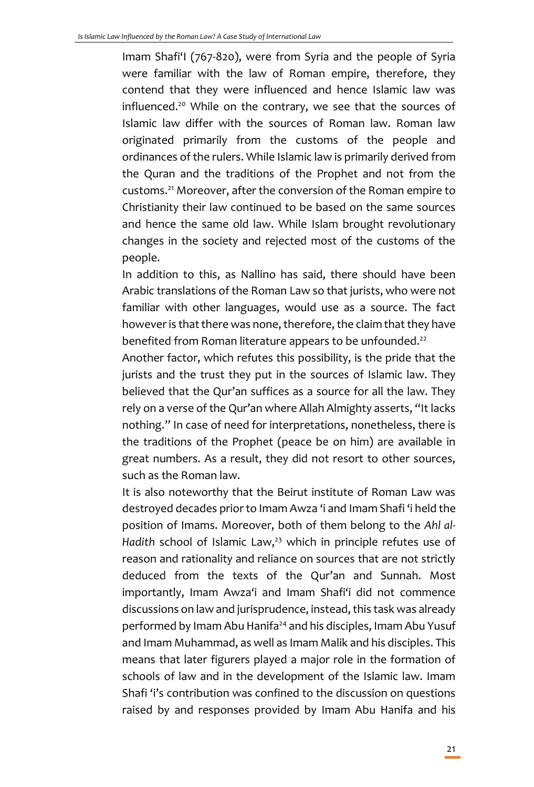Imam Shafi'I (767-820), were from Syria and the people of Syria were familiar with the law of Roman empire, therefore, they contend that they were influenced and hence Islamic law was influenced.<sup>20</sup> While on the contrary, we see that the sources of Islamic law differ with the sources of Roman law. Roman law originated primarily from the customs of the people and ordinances of the rulers. While Islamic law is primarily derived from the Quran and the traditions of the Prophet and not from the customs.<sup>21</sup> Moreover, after the conversion of the Roman empire to Christianity their law continued to be based on the same sources and hence the same old law. While Islam brought revolutionary changes in the society and rejected most of the customs of the people.

In addition to this, as Nallino has said, there should have been Arabic translations of the Roman Law so that jurists, who were not familiar with other languages, would use as a source. The fact however is that there was none, therefore, the claim that they have benefited from Roman literature appears to be unfounded.<sup>22</sup>

Another factor, which refutes this possibility, is the pride that the jurists and the trust they put in the sources of Islamic law. They believed that the Qur'an suffices as a source for all the law. They rely on a verse of the Qur'an where Allah Almighty asserts, "It lacks nothing." In case of need for interpretations, nonetheless, there is the traditions of the Prophet (peace be on him) are available in great numbers. As a result, they did not resort to other sources, such as the Roman law.

It is also noteworthy that the Beirut institute of Roman Law was destroyed decades prior to Imam Awza 'i and Imam Shafi 'i held the position of Imams. Moreover, both of them belong to the *Ahl al-*Hadith school of Islamic Law,<sup>23</sup> which in principle refutes use of reason and rationality and reliance on sources that are not strictly deduced from the texts of the Qur'an and Sunnah. Most importantly, Imam Awza'i and Imam Shafi'i did not commence discussions on law and jurisprudence, instead, this task was already performed by Imam Abu Hanifa<sup>24</sup> and his disciples, Imam Abu Yusuf and Imam Muhammad, as well as Imam Malik and his disciples. This means that later figurers played a major role in the formation of schools of law and in the development of the Islamic law. Imam Shafi 'i's contribution was confined to the discussion on questions raised by and responses provided by Imam Abu Hanifa and his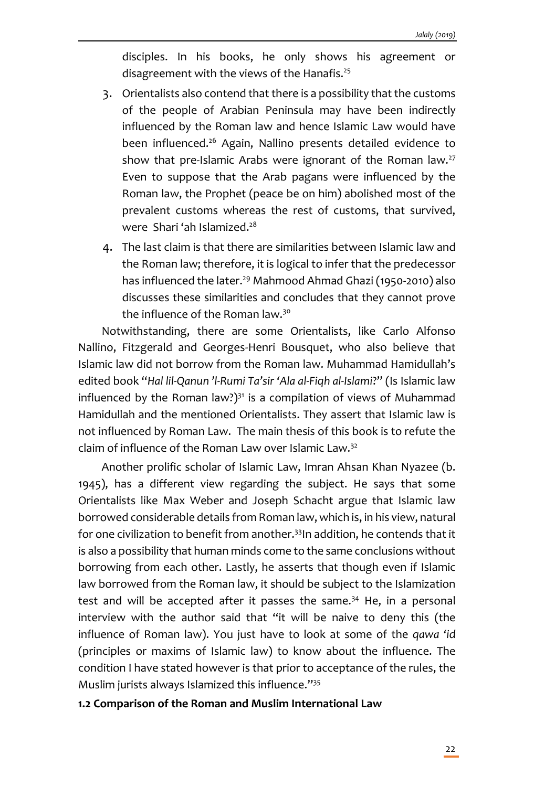disciples. In his books, he only shows his agreement or disagreement with the views of the Hanafis.<sup>25</sup>

- 3. Orientalists also contend that there is a possibility that the customs of the people of Arabian Peninsula may have been indirectly influenced by the Roman law and hence Islamic Law would have been influenced.<sup>26</sup> Again, Nallino presents detailed evidence to show that pre-Islamic Arabs were ignorant of the Roman law.<sup>27</sup> Even to suppose that the Arab pagans were influenced by the Roman law, the Prophet (peace be on him) abolished most of the prevalent customs whereas the rest of customs, that survived, were Shari 'ah Islamized.<sup>28</sup>
- 4. The last claim is that there are similarities between Islamic law and the Roman law; therefore, it is logical to infer that the predecessor has influenced the later.<sup>29</sup> Mahmood Ahmad Ghazi (1950-2010) also discusses these similarities and concludes that they cannot prove the influence of the Roman law.<sup>30</sup>

Notwithstanding, there are some Orientalists, like Carlo Alfonso Nallino, Fitzgerald and Georges-Henri Bousquet, who also believe that Islamic law did not borrow from the Roman law. Muhammad Hamidullah's edited book "*Hal lil-Qanun 'l-Rumi Ta'sir 'Ala al-Fiqh al-Islami*?" (Is Islamic law influenced by the Roman law?) $31$  is a compilation of views of Muhammad Hamidullah and the mentioned Orientalists. They assert that Islamic law is not influenced by Roman Law. The main thesis of this book is to refute the claim of influence of the Roman Law over Islamic Law.<sup>32</sup>

Another prolific scholar of Islamic Law, Imran Ahsan Khan Nyazee (b. 1945), has a different view regarding the subject. He says that some Orientalists like Max Weber and Joseph Schacht argue that Islamic law borrowed considerable details from Roman law, which is, in his view, natural for one civilization to benefit from another.<sup>33</sup>In addition, he contends that it is also a possibility that human minds come to the same conclusions without borrowing from each other. Lastly, he asserts that though even if Islamic law borrowed from the Roman law, it should be subject to the Islamization test and will be accepted after it passes the same. $34$  He, in a personal interview with the author said that "it will be naive to deny this (the influence of Roman law). You just have to look at some of the *qawa 'id* (principles or maxims of Islamic law) to know about the influence. The condition I have stated however is that prior to acceptance of the rules, the Muslim jurists always Islamized this influence."<sup>35</sup>

#### **1.2 Comparison of the Roman and Muslim International Law**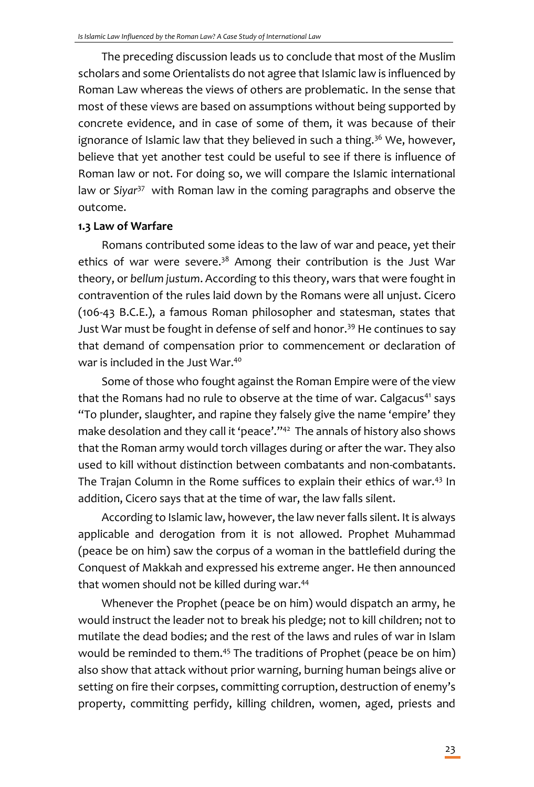The preceding discussion leads us to conclude that most of the Muslim scholars and some Orientalists do not agree that Islamic law is influenced by Roman Law whereas the views of others are problematic. In the sense that most of these views are based on assumptions without being supported by concrete evidence, and in case of some of them, it was because of their ignorance of Islamic law that they believed in such a thing.<sup>36</sup> We, however, believe that yet another test could be useful to see if there is influence of Roman law or not. For doing so, we will compare the Islamic international law or Siyar<sup>37</sup> with Roman law in the coming paragraphs and observe the outcome.

## **1.3 Law of Warfare**

Romans contributed some ideas to the law of war and peace, yet their ethics of war were severe.<sup>38</sup> Among their contribution is the Just War theory, or *bellum justum*. According to this theory, wars that were fought in contravention of the rules laid down by the Romans were all unjust. Cicero (106-43 B.C.E.), a famous Roman philosopher and statesman, states that Just War must be fought in defense of self and honor.<sup>39</sup> He continues to say that demand of compensation prior to commencement or declaration of war is included in the Just War.<sup>40</sup>

Some of those who fought against the Roman Empire were of the view that the Romans had no rule to observe at the time of war. Calgacus<sup>41</sup> says "To plunder, slaughter, and rapine they falsely give the name 'empire' they make desolation and they call it 'peace'."<sup>42</sup> The annals of history also shows that the Roman army would torch villages during or after the war. They also used to kill without distinction between combatants and non-combatants. The Trajan Column in the Rome suffices to explain their ethics of war.<sup>43</sup> In addition, Cicero says that at the time of war, the law falls silent.

According to Islamic law, however, the law never falls silent. It is always applicable and derogation from it is not allowed. Prophet Muhammad (peace be on him) saw the corpus of a woman in the battlefield during the Conquest of Makkah and expressed his extreme anger. He then announced that women should not be killed during war.<sup>44</sup>

Whenever the Prophet (peace be on him) would dispatch an army, he would instruct the leader not to break his pledge; not to kill children; not to mutilate the dead bodies; and the rest of the laws and rules of war in Islam would be reminded to them.<sup>45</sup> The traditions of Prophet (peace be on him) also show that attack without prior warning, burning human beings alive or setting on fire their corpses, committing corruption, destruction of enemy's property, committing perfidy, killing children, women, aged, priests and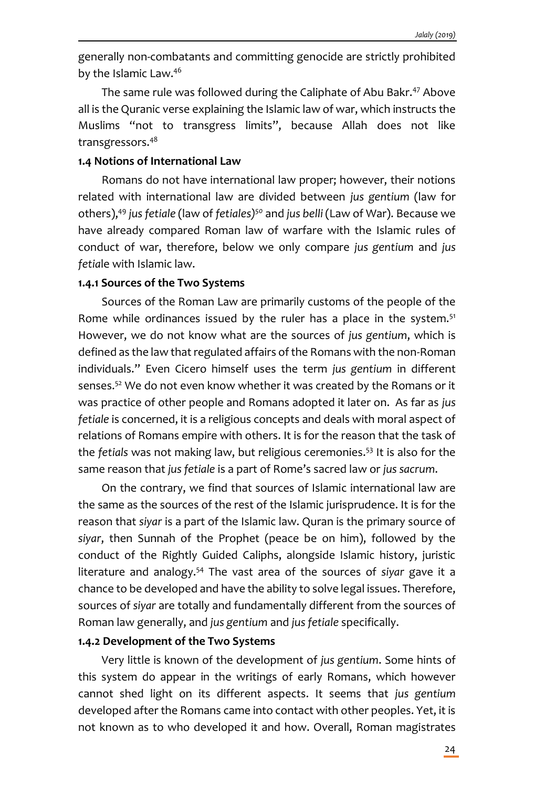generally non-combatants and committing genocide are strictly prohibited by the Islamic Law.<sup>46</sup>

The same rule was followed during the Caliphate of Abu Bakr.<sup>47</sup> Above all is the Quranic verse explaining the Islamic law of war, which instructs the Muslims "not to transgress limits", because Allah does not like transgressors.<sup>48</sup>

## **1.4 Notions of International Law**

Romans do not have international law proper; however, their notions related with international law are divided between *jus gentium* (law for others),<sup>49</sup> *jus fetiale* (law of *fetiales)<sup>50</sup>* and *jus belli* (Law of War). Because we have already compared Roman law of warfare with the Islamic rules of conduct of war, therefore, below we only compare *jus gentium* and *jus fetia*le with Islamic law.

#### **1.4.1 Sources of the Two Systems**

Sources of the Roman Law are primarily customs of the people of the Rome while ordinances issued by the ruler has a place in the system.<sup>51</sup> However, we do not know what are the sources of *jus gentium*, which is defined as the law that regulated affairs of the Romans with the non-Roman individuals." Even Cicero himself uses the term *jus gentium* in different senses.<sup>52</sup> We do not even know whether it was created by the Romans or it was practice of other people and Romans adopted it later on. As far as *jus fetiale* is concerned, it is a religious concepts and deals with moral aspect of relations of Romans empire with others. It is for the reason that the task of the *fetials* was not making law, but religious ceremonies.<sup>53</sup> It is also for the same reason that *jus fetiale* is a part of Rome's sacred law or *jus sacrum*.

On the contrary, we find that sources of Islamic international law are the same as the sources of the rest of the Islamic jurisprudence. It is for the reason that *siyar* is a part of the Islamic law. Quran is the primary source of *siyar*, then Sunnah of the Prophet (peace be on him), followed by the conduct of the Rightly Guided Caliphs, alongside Islamic history, juristic literature and analogy.<sup>54</sup> The vast area of the sources of *siyar* gave it a chance to be developed and have the ability to solve legal issues. Therefore, sources of *siyar* are totally and fundamentally different from the sources of Roman law generally, and *jus gentium* and *jus fetiale* specifically.

#### **1.4.2 Development of the Two Systems**

Very little is known of the development of *jus gentium*. Some hints of this system do appear in the writings of early Romans, which however cannot shed light on its different aspects. It seems that *jus gentium* developed after the Romans came into contact with other peoples. Yet, it is not known as to who developed it and how. Overall, Roman magistrates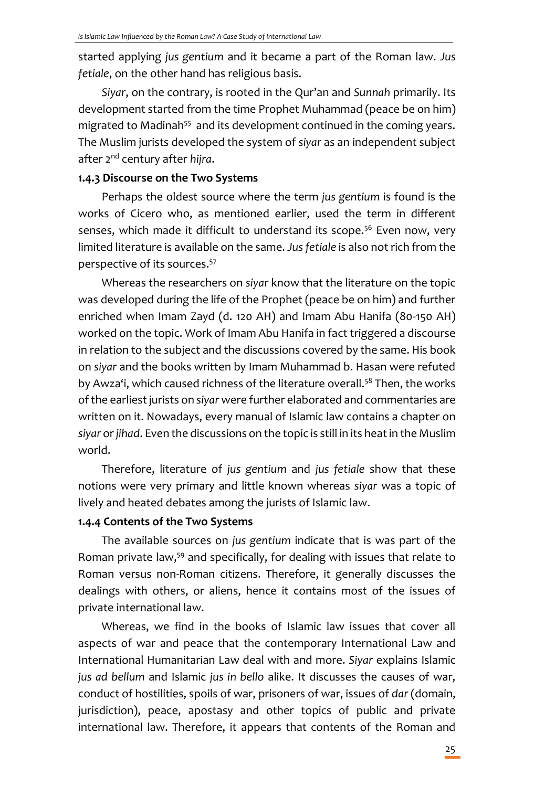started applying *jus gentium* and it became a part of the Roman law. *Jus fetiale*, on the other hand has religious basis.

*Siyar*, on the contrary, is rooted in the Qur'an and *Sunnah* primarily. Its development started from the time Prophet Muhammad (peace be on him) migrated to Madinah<sup>55</sup> and its development continued in the coming years. The Muslim jurists developed the system of *siyar* as an independent subject after 2nd century after *hijra*.

#### **1.4.3 Discourse on the Two Systems**

Perhaps the oldest source where the term *jus gentium* is found is the works of Cicero who, as mentioned earlier, used the term in different senses, which made it difficult to understand its scope.<sup>56</sup> Even now, very limited literature is available on the same. *Jus fetiale* is also not rich from the perspective of its sources.<sup>57</sup>

Whereas the researchers on *siyar* know that the literature on the topic was developed during the life of the Prophet (peace be on him) and further enriched when Imam Zayd (d. 120 AH) and Imam Abu Hanifa (80-150 AH) worked on the topic. Work of Imam Abu Hanifa in fact triggered a discourse in relation to the subject and the discussions covered by the same. His book on *siyar* and the books written by Imam Muhammad b. Hasan were refuted by Awza'i, which caused richness of the literature overall.<sup>58</sup> Then, the works of the earliest jurists on *siyar* were further elaborated and commentaries are written on it. Nowadays, every manual of Islamic law contains a chapter on *siyar* or *jihad*. Even the discussions on the topic is still in its heat in the Muslim world.

Therefore, literature of *jus gentium* and *jus fetiale* show that these notions were very primary and little known whereas *siyar* was a topic of lively and heated debates among the jurists of Islamic law.

#### **1.4.4 Contents of the Two Systems**

The available sources on *jus gentium* indicate that is was part of the Roman private law,<sup>59</sup> and specifically, for dealing with issues that relate to Roman versus non-Roman citizens. Therefore, it generally discusses the dealings with others, or aliens, hence it contains most of the issues of private international law.

Whereas, we find in the books of Islamic law issues that cover all aspects of war and peace that the contemporary International Law and International Humanitarian Law deal with and more. *Siyar* explains Islamic *jus ad bellum* and Islamic *jus in bello* alike. It discusses the causes of war, conduct of hostilities, spoils of war, prisoners of war, issues of *dar* (domain, jurisdiction), peace, apostasy and other topics of public and private international law. Therefore, it appears that contents of the Roman and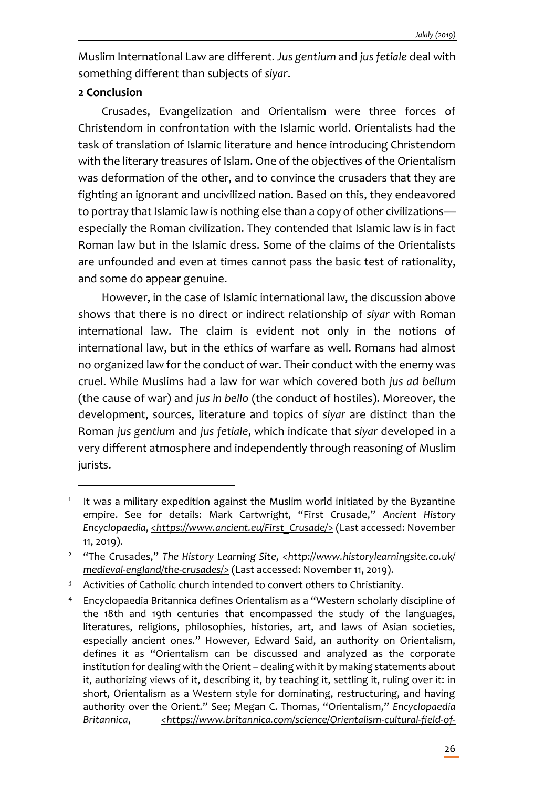Muslim International Law are different. *Jus gentium* and *jus fetiale* deal with something different than subjects of *siyar*.

## **2 Conclusion**

I

Crusades, Evangelization and Orientalism were three forces of Christendom in confrontation with the Islamic world. Orientalists had the task of translation of Islamic literature and hence introducing Christendom with the literary treasures of Islam. One of the objectives of the Orientalism was deformation of the other, and to convince the crusaders that they are fighting an ignorant and uncivilized nation. Based on this, they endeavored to portray that Islamic law is nothing else than a copy of other civilizations especially the Roman civilization. They contended that Islamic law is in fact Roman law but in the Islamic dress. Some of the claims of the Orientalists are unfounded and even at times cannot pass the basic test of rationality, and some do appear genuine.

However, in the case of Islamic international law, the discussion above shows that there is no direct or indirect relationship of *siyar* with Roman international law. The claim is evident not only in the notions of international law, but in the ethics of warfare as well. Romans had almost no organized law for the conduct of war. Their conduct with the enemy was cruel. While Muslims had a law for war which covered both *jus ad bellum* (the cause of war) and *jus in bello* (the conduct of hostiles). Moreover, the development, sources, literature and topics of *siyar* are distinct than the Roman *jus gentium* and *jus fetiale*, which indicate that *siyar* developed in a very different atmosphere and independently through reasoning of Muslim jurists.

<sup>1</sup> It was a military expedition against the Muslim world initiated by the Byzantine empire. See for details: Mark Cartwright, "First Crusade," *Ancient History Encyclopaedia*, *<https://www.ancient.eu/First\_Crusade/>* (Last accessed: November 11, 2019).

<sup>&</sup>lt;sup>2</sup> "The Crusades," The History Learning Site, <http://www.historylearningsite.co.uk/ *medieval-england/the-crusades/>* (Last accessed: November 11, 2019).

<sup>&</sup>lt;sup>3</sup> Activities of Catholic church intended to convert others to Christianity.

<sup>4</sup> Encyclopaedia Britannica defines Orientalism as a "Western scholarly discipline of the 18th and 19th centuries that encompassed the study of the languages, literatures, religions, philosophies, histories, art, and laws of Asian societies, especially ancient ones." However, Edward Said, an authority on Orientalism, defines it as "Orientalism can be discussed and analyzed as the corporate institution for dealing with the Orient – dealing with it by making statements about it, authorizing views of it, describing it, by teaching it, settling it, ruling over it: in short, Orientalism as a Western style for dominating, restructuring, and having authority over the Orient." See; Megan C. Thomas, "Orientalism," *Encyclopaedia Britannica*, *<https://www.britannica.com/science/Orientalism-cultural-field-of-*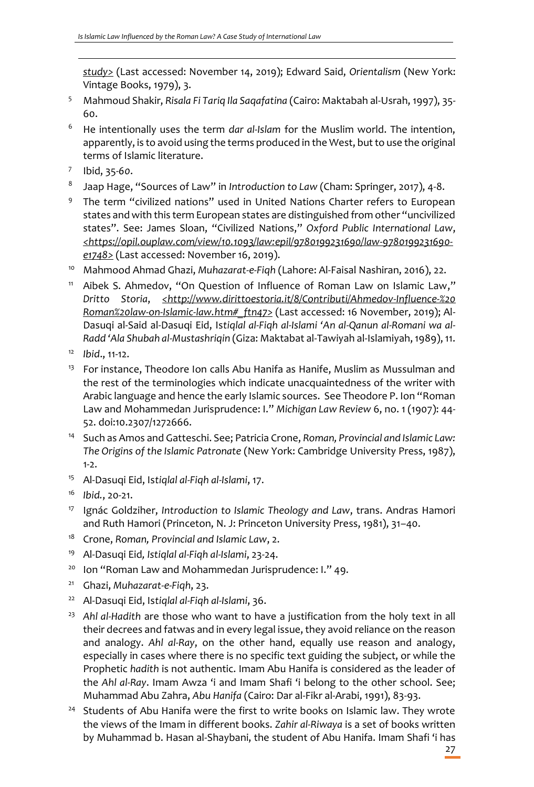*study>* (Last accessed: November 14, 2019); Edward Said, *Orientalism* (New York: Vintage Books, 1979), 3.

- <sup>5</sup> Mahmoud Shakir, *Risala Fi Tariq Ila Saqafatina* (Cairo: Maktabah al-Usrah, 1997), 35- 60.
- <sup>6</sup> He intentionally uses the term *dar al-Islam* for the Muslim world. The intention, apparently, is to avoid using the terms produced in the West, but to use the original terms of Islamic literature.
- 7 Ibid, 35-*60*.

- 8 Jaap Hage, "Sources of Law" in *Introduction to Law* (Cham: Springer, 2017), 4-8.
- 9 The term "civilized nations" used in United Nations Charter refers to European states and with this term European states are distinguished from other "uncivilized states". See: James Sloan, "Civilized Nations," *Oxford Public International Law*, *<https://opil.ouplaw.com/view/10.1093/law:epil/9780199231690/law-9780199231690 e1748>* (Last accessed: November 16, 2019).
- <sup>10</sup> Mahmood Ahmad Ghazi, *Muhazarat-e-Fiqh* (Lahore: Al-Faisal Nashiran, 2016), 22.
- <sup>11</sup> Aibek S. Ahmedov, "On Question of Influence of Roman Law on Islamic Law," *Dritto Storia*, *<http://www.dirittoestoria.it/8/Contributi/Ahmedov-Influence-%20 Roman%20law-on-Islamic-law.htm#\_ftn47>* (Last accessed: 16 November, 2019); Al-Dasuqi al-Said al-Dasuqi Eid, Is*tiqlal al-Fiqh al-Islami 'An al-Qanun al-Romani wa al-Radd 'Ala Shubah al-Mustashriqin* (Giza: Maktabat al-Tawiyah al-Islamiyah, 1989), 11.
- <sup>12</sup> *Ibid*., 11-12.
- <sup>13</sup> For instance, Theodore Ion calls Abu Hanifa as Hanife, Muslim as Mussulman and the rest of the terminologies which indicate unacquaintedness of the writer with Arabic language and hence the early Islamic sources. See Theodore P. Ion "Roman Law and Mohammedan Jurisprudence: I." *Michigan Law Review* 6, no. 1 (1907): 44- 52. doi:10.2307/1272666.
- <sup>14</sup> Such as Amos and Gatteschi. See; Patricia Crone, *Roman, Provincial and Islamic Law: The Origins of the Islamic Patronate* (New York: Cambridge University Press, 1987), 1-2.
- <sup>15</sup> Al-Dasuqi Eid, Is*tiqlal al-Fiqh al-Islami*, 17.
- <sup>16</sup> *Ibid.*, 20-21.
- <sup>17</sup> Ignác Goldziher, *Introduction to Islamic Theology and Law*, trans. Andras Hamori and Ruth Hamori (Princeton, N. J: Princeton University Press, 1981), 31–40.
- <sup>18</sup> Crone, *Roman, Provincial and Islamic Law*, 2.
- <sup>19</sup> Al-Dasuqi Eid*, Istiqlal al-Fiqh al-Islami*, 23-24.
- <sup>20</sup> Ion "Roman Law and Mohammedan Jurisprudence: I." 49.
- <sup>21</sup> Ghazi, *Muhazarat-e-Fiqh*, 23.
- <sup>22</sup> Al-Dasuqi Eid, Is*tiqlal al-Fiqh al-Islami*, 36.
- <sup>23</sup> Ahl al-Hadith are those who want to have a justification from the holy text in all their decrees and fatwas and in every legal issue, they avoid reliance on the reason and analogy. *Ahl al-Ray*, on the other hand, equally use reason and analogy, especially in cases where there is no specific text guiding the subject, or while the Prophetic *hadith* is not authentic. Imam Abu Hanifa is considered as the leader of the *Ahl al-Ray*. Imam Awza 'i and Imam Shafi 'i belong to the other school. See; Muhammad Abu Zahra, *Abu Hanifa* (Cairo: Dar al-Fikr al-Arabi, 1991), 83-93.
- <sup>24</sup> Students of Abu Hanifa were the first to write books on Islamic law. They wrote the views of the Imam in different books. *Zahir al-Riwaya* is a set of books written by Muhammad b. Hasan al-Shaybani, the student of Abu Hanifa. Imam Shafi 'i has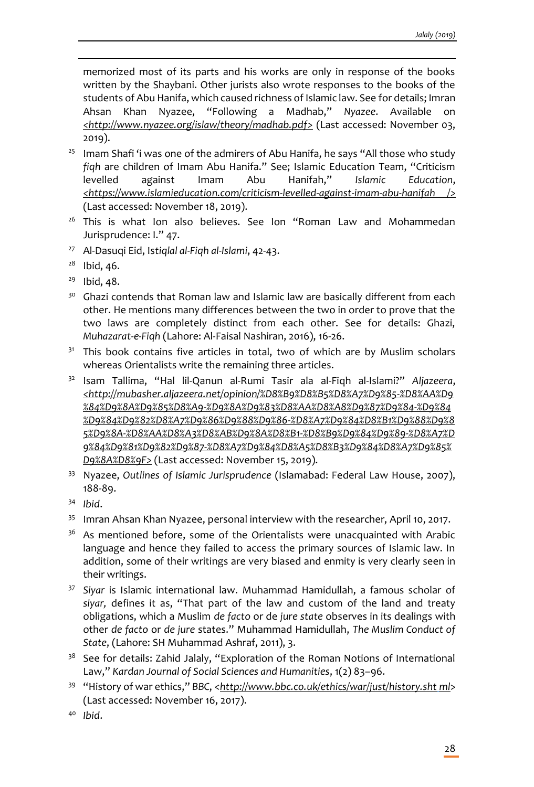memorized most of its parts and his works are only in response of the books written by the Shaybani. Other jurists also wrote responses to the books of the students of Abu Hanifa, which caused richness of Islamic law. See for details; Imran Ahsan Khan Nyazee, "Following a Madhab," *Nyazee*. Available on *<http://www.nyazee.org/islaw/theory/madhab.pdf>* (Last accessed: November 03, 2019).

- <sup>25</sup> Imam Shafi 'i was one of the admirers of Abu Hanifa, he says "All those who study *fiqh* are children of Imam Abu Hanifa." See; Islamic Education Team, "Criticism levelled against Imam Abu Hanifah," *Islamic Education*, *<https://www.islamieducation.com/criticism-levelled-against-imam-abu-hanifah />* (Last accessed: November 18, 2019).
- <sup>26</sup> This is what Ion also believes. See Ion "Roman Law and Mohammedan Jurisprudence: I." 47.
- <sup>27</sup> Al-Dasuqi Eid, Is*tiqlal al-Fiqh al-Islami*, 42-43.
- $28$  Ibid, 46.

- <sup>29</sup> Ibid, 48.
- $30$  Ghazi contends that Roman law and Islamic law are basically different from each other. He mentions many differences between the two in order to prove that the two laws are completely distinct from each other. See for details: Ghazi, *Muhazarat-e-Fiqh* (Lahore: Al-Faisal Nashiran, 2016), 16-26.
- <sup>31</sup> This book contains five articles in total, two of which are by Muslim scholars whereas Orientalists write the remaining three articles.
- <sup>32</sup> Isam Tallima, "Hal lil-Qanun al-Rumi Tasir ala al-Fiqh al-Islami?" *Aljazeera*, *<http://mubasher.aljazeera.net/opinion/%D8%B9%D8%B5%D8%A7%D9%85-%D8%AA%D9 %84%D9%8A%D9%85%D8%A9-%D9%8A%D9%83%D8%AA%D8%A8%D9%87%D9%84-%D9%84 %D9%84%D9%82%D8%A7%D9%86%D9%88%D9%86-%D8%A7%D9%84%D8%B1%D9%88%D9%8 5%D9%8A-%D8%AA%D8%A3%D8%AB%D9%8A%D8%B1-%D8%B9%D9%84%D9%89-%D8%A7%D 9%84%D9%81%D9%82%D9%87-%D8%A7%D9%84%D8%A5%D8%B3%D9%84%D8%A7%D9%85% D9%8A%D8%9F>* (Last accessed: November 15, 2019).
- <sup>33</sup> Nyazee, *Outlines of Islamic Jurisprudence* (Islamabad: Federal Law House, 2007), 188-89.
- <sup>34</sup> *Ibid*.
- <sup>35</sup> Imran Ahsan Khan Nyazee, personal interview with the researcher, April 10, 2017.
- <sup>36</sup> As mentioned before, some of the Orientalists were unacquainted with Arabic language and hence they failed to access the primary sources of Islamic law. In addition, some of their writings are very biased and enmity is very clearly seen in their writings.
- <sup>37</sup> *Siyar* is Islamic international law. Muhammad Hamidullah, a famous scholar of *siyar,* defines it as, "That part of the law and custom of the land and treaty obligations, which a Muslim *de facto* or de *jure state* observes in its dealings with other *de facto* or *de jure* states." Muhammad Hamidullah, *The Muslim Conduct of State*, (Lahore: SH Muhammad Ashraf, 2011), 3.
- <sup>38</sup> See for details: Zahid Jalaly, "Exploration of the Roman Notions of International Law," *Kardan Journal of Social Sciences and Humanities*, 1(2) 83–96.
- <sup>39</sup> "History of war ethics," *BBC*, <*http://www.bbc.co.uk/ethics/war/just/history.sht ml*> (Last accessed: November 16, 2017).
- <sup>40</sup> *Ibid*.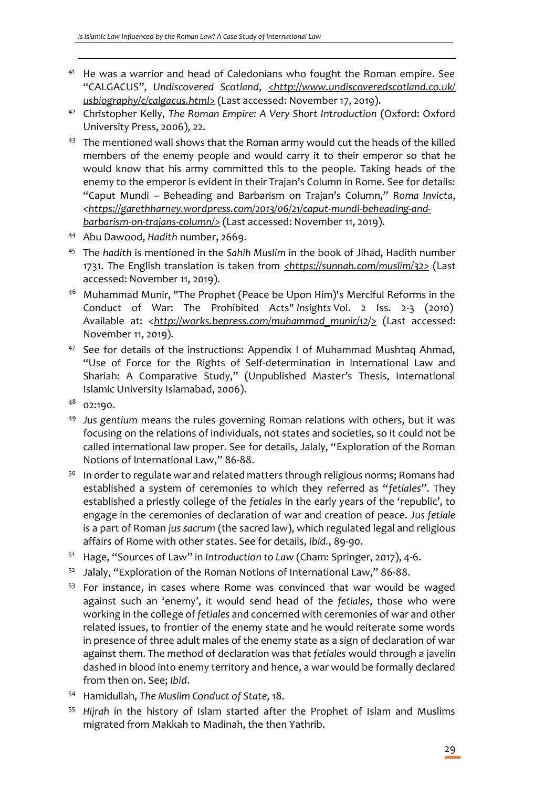- <sup>41</sup> He was a warrior and head of Caledonians who fought the Roman empire. See "CALGACUS", *Undiscovered Scotland*, *<http://www.undiscoveredscotland.co.uk/ usbiography/c/calgacus.html>* (Last accessed: November 17, 2019).
- <sup>42</sup> Christopher Kelly, *The Roman Empire: A Very Short Introduction* (Oxford: Oxford University Press, 2006), 22.
- <sup>43</sup> The mentioned wall shows that the Roman army would cut the heads of the killed members of the enemy people and would carry it to their emperor so that he would know that his army committed this to the people. Taking heads of the enemy to the emperor is evident in their Trajan's Column in Rome. See for details: "Caput Mundi – Beheading and Barbarism on Trajan's Column," *Roma Invicta*, *<https://garethharney.wordpress.com/2013/06/21/caput-mundi-beheading-andbarbarism-on-trajans-column/>* (Last accessed: November 11, 2019).
- <sup>44</sup> Abu Dawood, *Hadith* number, 2669.
- <sup>45</sup> The *hadith* is mentioned in the *Sahih Muslim* in the book of Jihad, Hadith number 1731. The English translation is taken from *<https://sunnah.com/muslim/32>* (Last accessed: November 11, 2019).
- <sup>46</sup> Muhammad Munir, "The Prophet (Peace be Upon Him)'s Merciful Reforms in the Conduct of War: The Prohibited Acts" *Insights* Vol. 2 Iss. 2-3 (2010) Available at: <http://works.bepress.com/muhammad\_munir/12/2 (Last accessed: November 11, 2019).
- <sup>47</sup> See for details of the instructions: Appendix I of Muhammad Mushtaq Ahmad, "Use of Force for the Rights of Self-determination in International Law and Shariah: A Comparative Study," (Unpublished Master's Thesis, International Islamic University Islamabad, 2006).
- <sup>48</sup> 02:190.

- <sup>49</sup> *Jus gentium* means the rules governing Roman relations with others, but it was focusing on the relations of individuals, not states and societies, so it could not be called international law proper. See for details, Jalaly, "Exploration of the Roman Notions of International Law," 86-88.
- 50 In order to regulate war and related matters through religious norms; Romans had established a system of ceremonies to which they referred as "*fetiales*". They established a priestly college of the *fetiales* in the early years of the 'republic', to engage in the ceremonies of declaration of war and creation of peace. *Jus fetiale* is a part of Roman *jus sacrum* (the sacred law), which regulated legal and religious affairs of Rome with other states. See for details, *ibid.*, 89-90.
- <sup>51</sup> Hage, "Sources of Law" in *Introduction to Law* (Cham: Springer, 2017), 4-6.
- <sup>52</sup> Jalaly, "Exploration of the Roman Notions of International Law," 86-88.
- <sup>53</sup> For instance, in cases where Rome was convinced that war would be waged against such an 'enemy', it would send head of the *fetiales*, those who were working in the college of *fetiales* and concerned with ceremonies of war and other related issues, to frontier of the enemy state and he would reiterate some words in presence of three adult males of the enemy state as a sign of declaration of war against them. The method of declaration was that *fetiales* would through a javelin dashed in blood into enemy territory and hence, a war would be formally declared from then on. See; *Ibid*.
- <sup>54</sup> Hamidullah, *The Muslim Conduct of State*, 18.
- <sup>55</sup> *Hijrah* in the history of Islam started after the Prophet of Islam and Muslims migrated from Makkah to Madinah, the then Yathrib.